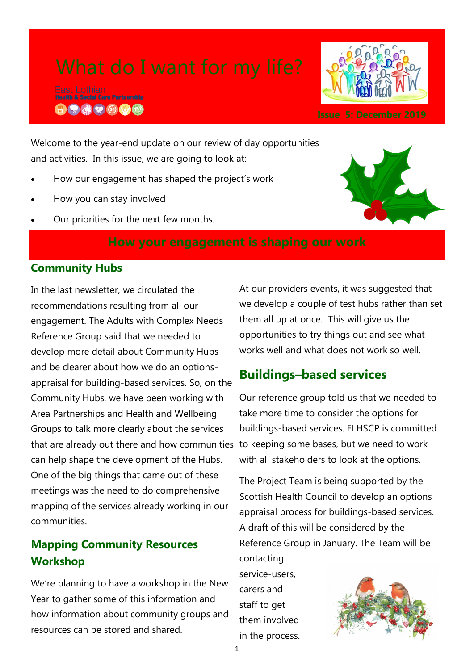$\bigoplus$   $\bigoplus$   $\bigoplus$   $\bigotimes$   $\bigotimes$   $\bigotimes$ 



Welcome to the year-end update on our review of day opportunities and activities. In this issue, we are going to look at:

- How our engagement has shaped the project's work
- How you can stay involved
- Our priorities for the next few months.



### **Community Hubs**

In the last newsletter, we circulated the recommendations resulting from all our engagement. The Adults with Complex Needs Reference Group said that we needed to develop more detail about Community Hubs and be clearer about how we do an optionsappraisal for building-based services. So, on the Community Hubs, we have been working with Area Partnerships and Health and Wellbeing Groups to talk more clearly about the services that are already out there and how communities to keeping some bases, but we need to work can help shape the development of the Hubs. One of the big things that came out of these meetings was the need to do comprehensive mapping of the services already working in our communities.

# **Mapping Community Resources Workshop**

We're planning to have a workshop in the New Year to gather some of this information and how information about community groups and resources can be stored and shared.

At our providers events, it was suggested that we develop a couple of test hubs rather than set them all up at once. This will give us the opportunities to try things out and see what works well and what does not work so well.

# **Buildings–based services**

Our reference group told us that we needed to take more time to consider the options for buildings-based services. ELHSCP is committed with all stakeholders to look at the options.

The Project Team is being supported by the Scottish Health Council to develop an options appraisal process for buildings-based services. A draft of this will be considered by the Reference Group in January. The Team will be contacting

service-users, carers and staff to get them involved in the process.